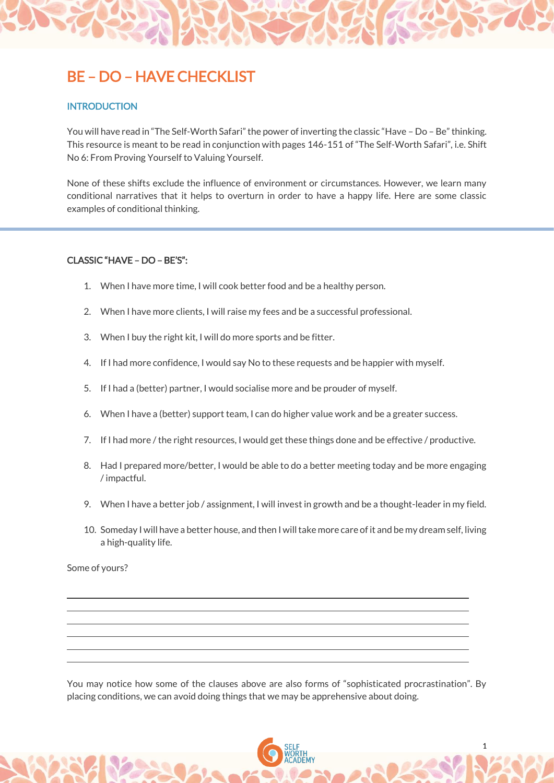## BE – DO – HAVE CHECKLIST

## **INTRODUCTION**

You will have read in "The Self-Worth Safari" the power of inverting the classic "Have – Do – Be" thinking. This resource is meant to be read in conjunction with pages 146-151 of "The Self-Worth Safari", i.e. Shift No 6: From Proving Yourself to Valuing Yourself.

None of these shifts exclude the influence of environment or circumstances. However, we learn many conditional narratives that it helps to overturn in order to have a happy life. Here are some classic examples of conditional thinking.

## CLASSIC "HAVE – DO – BE'S":

- 1. When I have more time, I will cook better food and be a healthy person.
- 2. When I have more clients, I will raise my fees and be a successful professional.
- 3. When I buy the right kit, I will do more sports and be fitter.
- 4. If I had more confidence, I would say No to these requests and be happier with myself.
- 5. If I had a (better) partner, I would socialise more and be prouder of myself.
- 6. When I have a (better) support team, I can do higher value work and be a greater success.
- 7. If I had more / the right resources, I would get these things done and be effective / productive.
- 8. Had I prepared more/better, I would be able to do a better meeting today and be more engaging / impactful.
- 9. When I have a better job / assignment, I will invest in growth and be a thought-leader in my field.
- 10. Someday I will have a better house, and then I will take more care of it and be my dream self, living a high-quality life.

Some of yours?

You may notice how some of the clauses above are also forms of "sophisticated procrastination". By placing conditions, we can avoid doing things that we may be apprehensive about doing.

1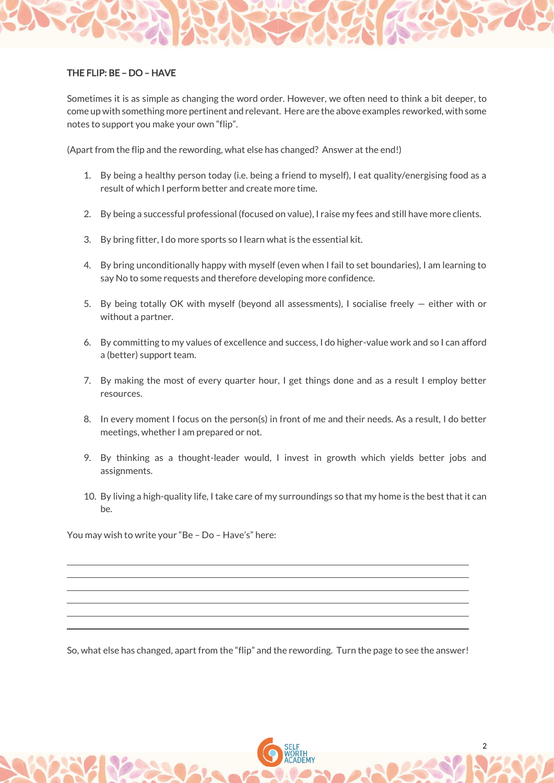## THE FLIP: BE – DO – HAVE

Sometimes it is as simple as changing the word order. However, we often need to think a bit deeper, to come up with something more pertinent and relevant. Here are the above examples reworked, with some notes to support you make your own "flip".

(Apart from the flip and the rewording, what else has changed? Answer at the end!)

- 1. By being a healthy person today (i.e. being a friend to myself), I eat quality/energising food as a result of which I perform better and create more time.
- 2. By being a successful professional (focused on value), I raise my fees and still have more clients.
- 3. By bring fitter, I do more sports so I learn what is the essential kit.
- 4. By bring unconditionally happy with myself (even when I fail to set boundaries), I am learning to say No to some requests and therefore developing more confidence.
- 5. By being totally OK with myself (beyond all assessments), I socialise freely either with or without a partner.
- 6. By committing to my values of excellence and success, I do higher-value work and so I can afford a (better) support team.
- 7. By making the most of every quarter hour, I get things done and as a result I employ better resources.
- 8. In every moment I focus on the person(s) in front of me and their needs. As a result, I do better meetings, whether I am prepared or not.
- 9. By thinking as a thought-leader would, I invest in growth which yields better jobs and assignments.
- 10. By living a high-quality life, I take care of my surroundings so that my home is the best that it can be.

You may wish to write your "Be – Do – Have's" here:

So, what else has changed, apart from the "flip" and the rewording. Turn the page to see the answer!

2